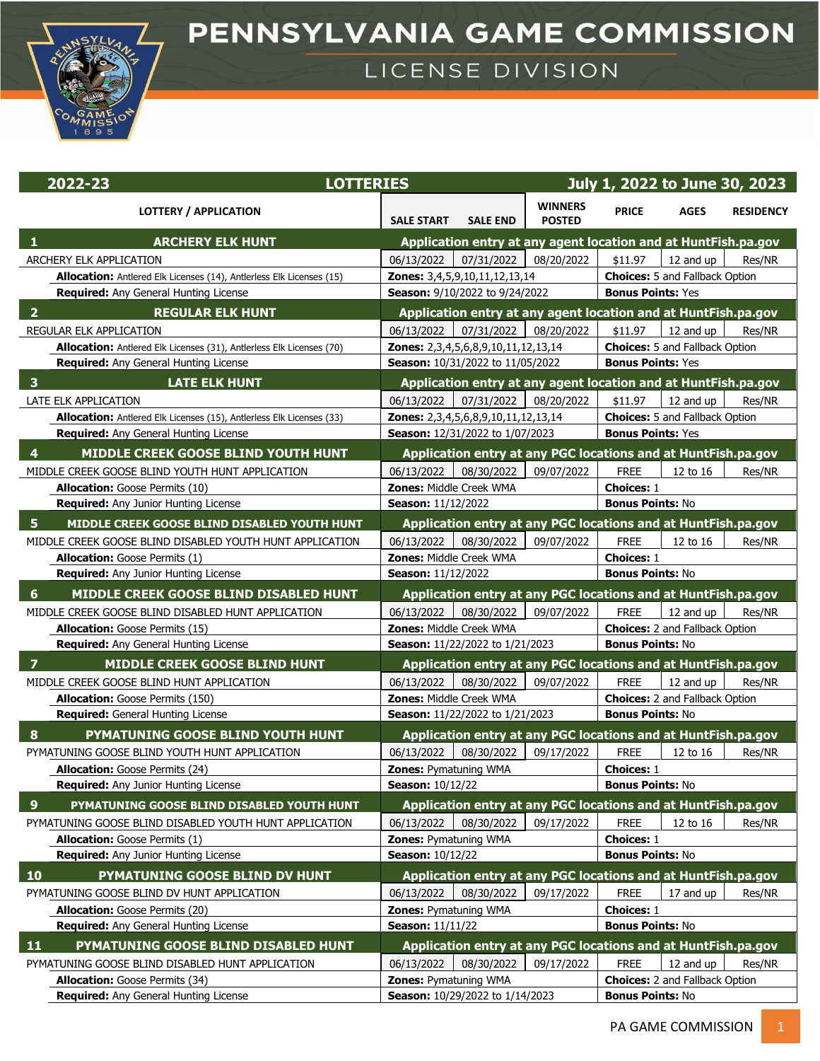

## PENNSYLVANIA GAME COMMISSION

## LICENSE DIVISION

| 2022-23                                                                                      | <b>LOTTERIES</b>                                                                          |                                 |                                              | July 1, 2022 to June 30, 2023                                    |                  |  |  |  |
|----------------------------------------------------------------------------------------------|-------------------------------------------------------------------------------------------|---------------------------------|----------------------------------------------|------------------------------------------------------------------|------------------|--|--|--|
| <b>LOTTERY / APPLICATION</b>                                                                 | <b>SALE START</b><br><b>SALE END</b>                                                      | <b>WINNERS</b><br><b>POSTED</b> | <b>PRICE</b>                                 | <b>AGES</b>                                                      | <b>RESIDENCY</b> |  |  |  |
| <b>ARCHERY ELK HUNT</b>                                                                      | Application entry at any agent location and at HuntFish.pa.gov                            |                                 |                                              |                                                                  |                  |  |  |  |
| ARCHERY ELK APPLICATION                                                                      | 07/31/2022<br>06/13/2022                                                                  | 08/20/2022                      | \$11.97                                      | 12 and up                                                        | Res/NR           |  |  |  |
| Allocation: Antlered Elk Licenses (14), Antlerless Elk Licenses (15)                         | Zones: 3,4,5,9,10,11,12,13,14                                                             |                                 |                                              | <b>Choices:</b> 5 and Fallback Option                            |                  |  |  |  |
| Required: Any General Hunting License                                                        | Season: 9/10/2022 to 9/24/2022                                                            |                                 | <b>Bonus Points: Yes</b>                     |                                                                  |                  |  |  |  |
| $\overline{2}$<br><b>REGULAR ELK HUNT</b>                                                    | Application entry at any agent location and at HuntFish.pa.gov                            |                                 |                                              |                                                                  |                  |  |  |  |
| <b>REGULAR ELK APPLICATION</b>                                                               | 07/31/2022<br>06/13/2022                                                                  | 08/20/2022                      | \$11.97                                      | 12 and up                                                        | Res/NR           |  |  |  |
| Allocation: Antlered Elk Licenses (31), Antlerless Elk Licenses (70)                         | Zones: 2,3,4,5,6,8,9,10,11,12,13,14                                                       |                                 |                                              | <b>Choices: 5 and Fallback Option</b>                            |                  |  |  |  |
| <b>Required:</b> Any General Hunting License                                                 | Season: 10/31/2022 to 11/05/2022                                                          |                                 | <b>Bonus Points: Yes</b>                     |                                                                  |                  |  |  |  |
| <b>LATE ELK HUNT</b><br>3                                                                    | Application entry at any agent location and at HuntFish.pa.gov                            |                                 |                                              |                                                                  |                  |  |  |  |
| LATE ELK APPLICATION                                                                         | 07/31/2022<br>06/13/2022                                                                  | 08/20/2022                      | \$11.97                                      | 12 and up                                                        | Res/NR           |  |  |  |
| Allocation: Antlered Elk Licenses (15), Antlerless Elk Licenses (33)                         | Zones: 2,3,4,5,6,8,9,10,11,12,13,14                                                       |                                 |                                              | <b>Choices:</b> 5 and Fallback Option                            |                  |  |  |  |
| Required: Any General Hunting License                                                        | Season: 12/31/2022 to 1/07/2023                                                           |                                 | <b>Bonus Points: Yes</b>                     |                                                                  |                  |  |  |  |
| MIDDLE CREEK GOOSE BLIND YOUTH HUNT<br>$\overline{4}$                                        | Application entry at any PGC locations and at HuntFish.pa.gov                             |                                 |                                              |                                                                  |                  |  |  |  |
| MIDDLE CREEK GOOSE BLIND YOUTH HUNT APPLICATION                                              | 08/30/2022<br>06/13/2022                                                                  | 09/07/2022                      | <b>FREE</b>                                  | 12 to 16                                                         | Res/NR           |  |  |  |
| Allocation: Goose Permits (10)                                                               | <b>Zones: Middle Creek WMA</b>                                                            |                                 | <b>Choices: 1</b>                            |                                                                  |                  |  |  |  |
| <b>Required:</b> Any Junior Hunting License                                                  | Season: 11/12/2022                                                                        |                                 |                                              | <b>Bonus Points: No</b>                                          |                  |  |  |  |
| -5<br>MIDDLE CREEK GOOSE BLIND DISABLED YOUTH HUNT                                           | Application entry at any PGC locations and at HuntFish.pa.gov                             |                                 |                                              |                                                                  |                  |  |  |  |
| MIDDLE CREEK GOOSE BLIND DISABLED YOUTH HUNT APPLICATION                                     | 08/30/2022<br>06/13/2022                                                                  | 09/07/2022                      | <b>FREE</b>                                  | 12 to 16                                                         | Res/NR           |  |  |  |
| <b>Allocation:</b> Goose Permits (1)                                                         | Zones: Middle Creek WMA                                                                   |                                 | <b>Choices: 1</b>                            |                                                                  |                  |  |  |  |
| <b>Required:</b> Any Junior Hunting License                                                  | Season: 11/12/2022                                                                        |                                 | <b>Bonus Points: No</b>                      |                                                                  |                  |  |  |  |
| 6                                                                                            |                                                                                           |                                 |                                              |                                                                  |                  |  |  |  |
| MIDDLE CREEK GOOSE BLIND DISABLED HUNT<br>MIDDLE CREEK GOOSE BLIND DISABLED HUNT APPLICATION | Application entry at any PGC locations and at HuntFish.pa.gov<br>08/30/2022<br>06/13/2022 | 09/07/2022                      | <b>FREE</b>                                  | 12 and up                                                        | Res/NR           |  |  |  |
| Allocation: Goose Permits (15)                                                               | <b>Zones: Middle Creek WMA</b>                                                            |                                 |                                              |                                                                  |                  |  |  |  |
| <b>Required:</b> Any General Hunting License                                                 |                                                                                           | Season: 11/22/2022 to 1/21/2023 |                                              | <b>Choices:</b> 2 and Fallback Option<br><b>Bonus Points: No</b> |                  |  |  |  |
| $\overline{7}$<br>MIDDLE CREEK GOOSE BLIND HUNT                                              | Application entry at any PGC locations and at HuntFish.pa.gov                             |                                 |                                              |                                                                  |                  |  |  |  |
|                                                                                              |                                                                                           |                                 | <b>FREE</b>                                  |                                                                  |                  |  |  |  |
| MIDDLE CREEK GOOSE BLIND HUNT APPLICATION<br>Allocation: Goose Permits (150)                 | 06/13/2022<br>08/30/2022<br>Zones: Middle Creek WMA                                       | 09/07/2022                      |                                              | 12 and up                                                        | Res/NR           |  |  |  |
| <b>Required:</b> General Hunting License                                                     |                                                                                           | Season: 11/22/2022 to 1/21/2023 |                                              | <b>Choices:</b> 2 and Fallback Option<br><b>Bonus Points: No</b> |                  |  |  |  |
|                                                                                              |                                                                                           |                                 |                                              |                                                                  |                  |  |  |  |
| PYMATUNING GOOSE BLIND YOUTH HUNT<br>8                                                       | Application entry at any PGC locations and at HuntFish.pa.gov                             |                                 |                                              |                                                                  |                  |  |  |  |
| PYMATUNING GOOSE BLIND YOUTH HUNT APPLICATION                                                | 08/30/2022<br>06/13/2022                                                                  | 09/17/2022                      | <b>FREE</b>                                  | 12 to 16                                                         | Res/NR           |  |  |  |
| <b>Allocation:</b> Goose Permits (24)<br><b>Required:</b> Any Junior Hunting License         | <b>Zones: Pymatuning WMA</b>                                                              |                                 | <b>Choices: 1</b><br><b>Bonus Points: No</b> |                                                                  |                  |  |  |  |
|                                                                                              | <b>Season: 10/12/22</b>                                                                   |                                 |                                              |                                                                  |                  |  |  |  |
| 9<br>PYMATUNING GOOSE BLIND DISABLED YOUTH HUNT                                              | Application entry at any PGC locations and at HuntFish.pa.gov                             |                                 |                                              |                                                                  |                  |  |  |  |
| PYMATUNING GOOSE BLIND DISABLED YOUTH HUNT APPLICATION                                       | 08/30/2022<br>06/13/2022                                                                  | 09/17/2022                      | <b>FREE</b>                                  | 12 to 16                                                         | Res/NR           |  |  |  |
| <b>Allocation:</b> Goose Permits (1)                                                         | <b>Zones: Pymatuning WMA</b>                                                              |                                 | <b>Choices: 1</b>                            |                                                                  |                  |  |  |  |
| Required: Any Junior Hunting License                                                         | <b>Season: 10/12/22</b>                                                                   |                                 | <b>Bonus Points: No</b>                      |                                                                  |                  |  |  |  |
| 10<br>PYMATUNING GOOSE BLIND DV HUNT                                                         | Application entry at any PGC locations and at HuntFish.pa.gov                             |                                 |                                              |                                                                  |                  |  |  |  |
| PYMATUNING GOOSE BLIND DV HUNT APPLICATION                                                   | 08/30/2022<br>06/13/2022                                                                  | 09/17/2022                      | <b>FREE</b>                                  | 17 and up                                                        | Res/NR           |  |  |  |
| Allocation: Goose Permits (20)                                                               | <b>Zones: Pymatuning WMA</b>                                                              |                                 | <b>Choices: 1</b>                            |                                                                  |                  |  |  |  |
| Required: Any General Hunting License                                                        | <b>Season: 11/11/22</b>                                                                   |                                 | <b>Bonus Points: No</b>                      |                                                                  |                  |  |  |  |
| $\overline{11}$<br>PYMATUNING GOOSE BLIND DISABLED HUNT                                      | Application entry at any PGC locations and at HuntFish.pa.gov                             |                                 |                                              |                                                                  |                  |  |  |  |
| PYMATUNING GOOSE BLIND DISABLED HUNT APPLICATION                                             | 06/13/2022<br>08/30/2022                                                                  | 09/17/2022                      | <b>FREE</b>                                  | 12 and up                                                        | Res/NR           |  |  |  |
| Allocation: Goose Permits (34)                                                               | Zones: Pymatuning WMA                                                                     |                                 | <b>Choices:</b> 2 and Fallback Option        |                                                                  |                  |  |  |  |
| Required: Any General Hunting License                                                        | Season: 10/29/2022 to 1/14/2023                                                           |                                 | <b>Bonus Points: No</b>                      |                                                                  |                  |  |  |  |